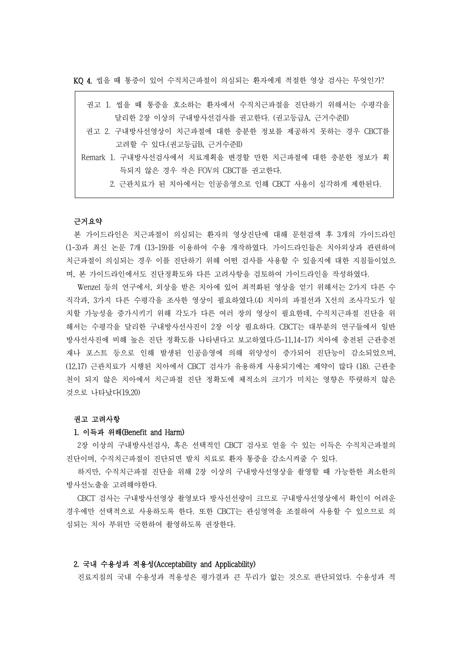KQ 4. 씹을 때 통증이 있어 수직치근파절이 의심되는 환자에게 적절한 영상 검사는 무엇인가?

| 권고 1. 씹을 때 통증을 호소하는 환자에서 수직치근파절을 진단하기 위해서는 수평각을     |
|-----------------------------------------------------|
| 달리한 2장 이상의 구내방사선검사를 권고한다. (권고등급A, 근거수준II)           |
| 권고 2. 구내방사선영상이 치근파절에 대한 충분한 정보를 제공하지 못하는 경우 CBCT를   |
| 고려할 수 있다.(권고등급B, 근거수준II)                            |
| Remark 1. 구내방사선검사에서 치료계획을 변경할 만한 치근파절에 대한 충분한 정보가 획 |
| 득되지 않은 경우 작은 FOV의 CBCT를 권고한다.                       |
| 2. 근관치료가 된 치아에서는 인공음영으로 인해 CBCT 사용이 심각하게 제한된다.      |

#### 근거요약

본 가이드라인은 치근파절이 의심되는 환자의 영상진단에 대해 문헌검색 후 3개의 가이드라인 (1-3)과 최신 논문 7개 (13-19)를 이용하여 수용 개작하였다. 가이드라인들은 치아외상과 관련하여 치근파절이 의심되는 경우 이를 진단하기 위해 어떤 검사를 사용할 수 있을지에 대한 지침들이었으 며, 본 가이드라인에서도 진단정확도와 다른 고려사항을 검토하여 가이드라인을 작성하였다.

Wenzel 등의 연구에서, 외상을 받은 치아에 있어 최적화된 영상을 얻기 위해서는 2가지 다른 수 직각과, 3가지 다른 수평각을 조사한 영상이 필요하였다.(4) 치아의 파절선과 X선의 조사각도가 일 치할 가능성을 증가시키기 위해 각도가 다른 여러 장의 영상이 필요한데, 수직치근파절 진단을 위 해서는 수평각을 달리한 구내방사선사진이 2장 이상 필요하다. CBCT는 대부분의 연구들에서 일반 방사선사진에 비해 높은 진단 정확도를 나타낸다고 보고하였다.(5-11,14-17) 치아에 충전된 근관충전 재나 포스트 등으로 인해 발생된 인공음영에 의해 위양성이 증가되어 진단능이 감소되었으며, (12,17) 근관치료가 시행된 치아에서 CBCT 검사가 유용하게 사용되기에는 제약이 많다 (18). 근관충 천이 되지 않은 치아에서 치근파절 진단 정확도에 체적소의 크기가 미치는 영향은 뚜렷하지 않은 것으로 나타났다(19,20)

#### 권고 고려사항

## 1. 이득과 위해(Benefit and Harm)

2장 이상의 구내방사선검사, 혹은 선택적인 CBCT 검사로 얻을 수 있는 이득은 수직치근파절의 진단이며, 수직치근파절이 진단되면 발치 치료로 환자 통증을 감소시켜줄 수 있다.

하지만, 수직치근파절 진단을 위해 2장 이상의 구내방사선영상을 촬영할 때 가능한한 최소한의 방사선노출을 고려해야한다.

CBCT 검사는 구내방사선영상 촬영보다 방사선선량이 크므로 구내방사선영상에서 확인이 어려운 경우에만 선택적으로 사용하도록 한다. 또한 CBCT는 관심영역을 조절하여 사용할 수 있으므로 의 심되는 치아 부위만 국한하여 촬영하도록 권장한다.

## 2. 국내 수용성과 적용성(Acceptability and Applicability)

진료지침의 국내 수용성과 적용성은 평가결과 큰 무리가 없는 것으로 판단되었다. 수용성과 적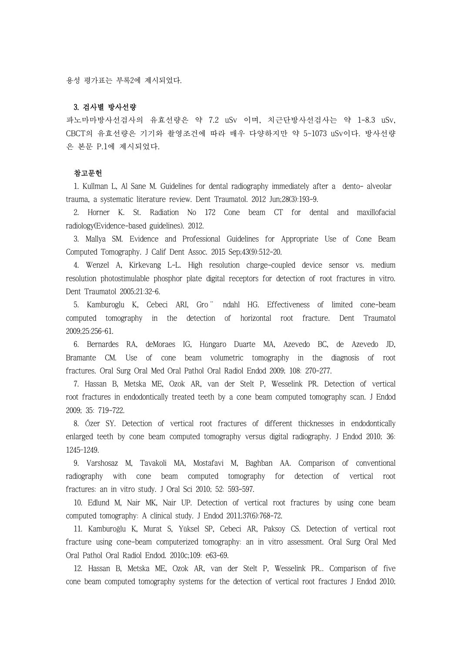용성 평가표는 부록2에 제시되었다.

# 3. 검사별 방사선량

파노마마방사선검사의 유효선량은 약 7.2 uSv 이며, 치근단방사선검사는 약 1-8.3 uSv, CBCT의 유효선량은 기기와 촬영조건에 따라 매우 다양하지만 약 5~1073 uSv이다. 방사선량 은 본문 P.1에 제시되었다.

## 참고문헌

1. Kullman L, Al Sane M. Guidelines for dental radiography immediately after a dento- alveolar trauma, a systematic literature review. Dent Traumatol. 2012 Jun;28(3):193-9.

2. Horner K. St. Radiation No 172 Cone beam CT for dental and maxillofacial radiology(Evidence-based guidelines). 2012.

3. Mallya SM. Evidence and Professional Guidelines for Appropriate Use of Cone Beam Computed Tomography. J Calif Dent Assoc. 2015 Sep;43(9):512-20.

4. Wenzel A, Kirkevang L-L. High resolution charge-coupled device sensor vs. medium resolution photostimulable phosphor plate digital receptors for detection of root fractures in vitro. Dent Traumatol 2005;21:32–6.

5. Kamburoglu K, Cebeci ARI, Gro¨ ndahl HG. Effectiveness of limited cone-beam computed tomography in the detection of horizontal root fracture. Dent Traumatol 2009;25:256–61.

6. Bernardes RA, deMoraes IG, Húngaro Duarte MA, Azevedo BC, de Azevedo JD, Bramante CM. Use of cone beam volumetric tomography in the diagnosis of root fractures. Oral Surg Oral Med Oral Pathol Oral Radiol Endod 2009; 108: 270-277.

7. Hassan B, Metska ME, Ozok AR, van der Stelt P, Wesselink PR. Detection of vertical root fractures in endodontically treated teeth by a cone beam computed tomography scan. J Endod 2009; 35: 719-722.

8. Őzer SY. Detection of vertical root fractures of different thicknesses in endodontically enlarged teeth by cone beam computed tomography versus digital radiography. J Endod 2010; 36: 1245–1249.

9. Varshosaz M, Tavakoli MA, Mostafavi M, Baghban AA. Comparison of conventional radiography with cone beam computed tomography for detection of vertical root fractures: an in vitro study. J Oral Sci 2010; 52: 593-597.

10. Edlund M, Nair MK, Nair UP. Detection of vertical root fractures by using cone beam computed tomography: A clinical study. J Endod 2011;37(6):768-72.

11. Kamburoğlu K, Murat S, Yüksel SP, Cebeci AR, Paksoy CS. Detection of vertical root fracture using cone-beam computerized tomography: an in vitro assessment. Oral Surg Oral Med Oral Pathol Oral Radiol Endod. 2010c;109: e63-69.

12. Hassan B, Metska ME, Ozok AR, van der Stelt P, Wesselink PR.. Comparison of five cone beam computed tomography systems for the detection of vertical root fractures J Endod 2010;